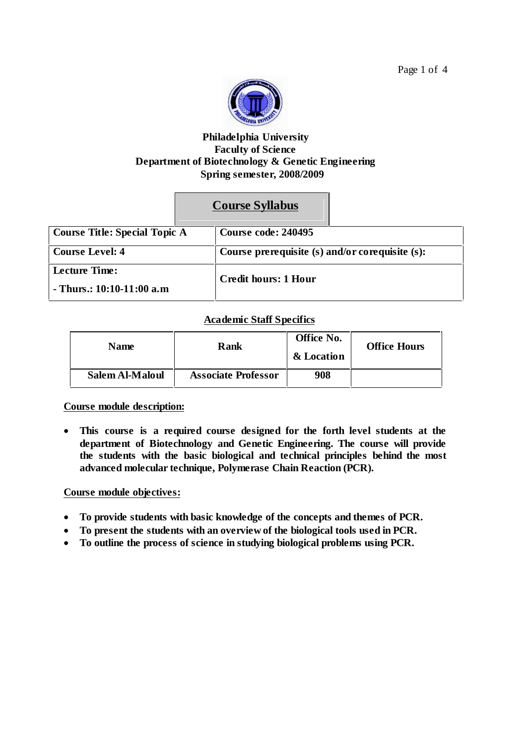

## **Philadelphia University Faculty of Science Department of Biotechnology & Genetic Engineering Spring semester, 2008/2009**

# **Course Syllabus**

| Course Title: Special Topic A                       |  | Course code: 240495                             |  |
|-----------------------------------------------------|--|-------------------------------------------------|--|
| Course Level: 4                                     |  | Course prerequisite (s) and/or corequisite (s): |  |
| <b>Lecture Time:</b><br>- Thurs.: $10:10-11:00$ a.m |  | <b>Credit hours: 1 Hour</b>                     |  |

## **Academic Staff Specifics**

| <b>Name</b>     | Rank                       | Office No.<br>& Location | <b>Office Hours</b> |
|-----------------|----------------------------|--------------------------|---------------------|
| Salem Al-Maloul | <b>Associate Professor</b> | 908                      |                     |

**Course module description:**

 **This course is a required course designed for the forth level students at the department of Biotechnology and Genetic Engineering. The course will provide the students with the basic biological and technical principles behind the most advanced molecular technique, Polymerase Chain Reaction (PCR).**

## **Course module objectives:**

- **To provide students with basic knowledge of the concepts and themes of PCR.**
- **To present the students with an overview of the biological tools used in PCR.**
- **To outline the process of science in studying biological problems using PCR.**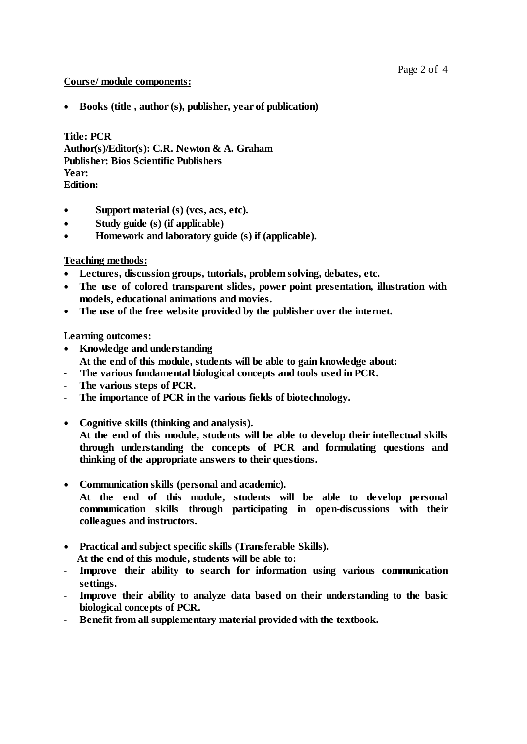### **Course/ module components:**

**Books (title , author (s), publisher, year of publication)**

**Title: PCR Author(s)/Editor(s): C.R. Newton & A. Graham Publisher: Bios Scientific Publishers Year: Edition:**

- **Support material (s) (vcs, acs, etc).**
- **Study guide (s) (if applicable)**
- **Homework and laboratory guide (s) if (applicable).**

## **Teaching methods:**

- **Lectures, discussion groups, tutorials, problem solving, debates, etc.**
- **The use of colored transparent slides, power point presentation, illustration with models, educational animations and movies.**
- **The use of the free website provided by the publisher over the internet.**

**Learning outcomes:**

- **Knowledge and understanding At the end of this module, students will be able to gain knowledge about:**
- **- The various fundamental biological concepts and tools used in PCR.**
- **The various steps of PCR.**
- **The importance of PCR in the various fields of biotechnology.**
- **Cognitive skills (thinking and analysis). At the end of this module, students will be able to develop their intellectual skills through understanding the concepts of PCR and formulating questions and thinking of the appropriate answers to their questions.**
- **Communication skills (personal and academic). At the end of this module, students will be able to develop personal communication skills through participating in open-discussions with their colleagues and instructors.**
- **Practical and subject specific skills (Transferable Skills). At the end of this module, students will be able to:**
- **Improve their ability to search for information using various communication settings.**
- **Improve their ability to analyze data based on their understanding to the basic biological concepts of PCR.**
- **Benefit from all supplementary material provided with the textbook.**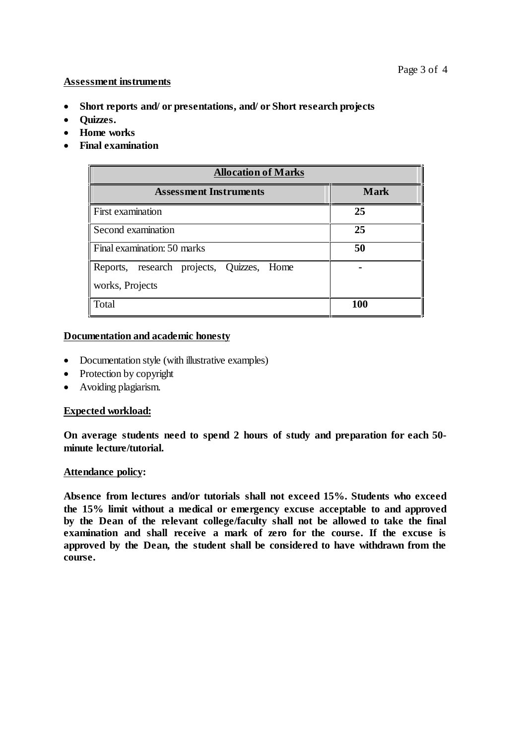#### **Assessment instruments**

- **Short reports and/ or presentations, and/ or Short research projects**
- **•** Ouizzes.
- **Home works**
- **Final examination**

| <b>Allocation of Marks</b>                |             |  |  |  |
|-------------------------------------------|-------------|--|--|--|
| <b>Assessment Instruments</b>             | <b>Mark</b> |  |  |  |
| First examination                         | 25          |  |  |  |
| Second examination                        | 25          |  |  |  |
| Final examination: 50 marks               | 50          |  |  |  |
| Reports, research projects, Quizzes, Home |             |  |  |  |
| works, Projects                           |             |  |  |  |
| Total                                     | <b>100</b>  |  |  |  |

#### **Documentation and academic honesty**

- Documentation style (with illustrative examples)
- Protection by copyright
- Avoiding plagiarism.

### **Expected workload:**

**On average students need to spend 2 hours of study and preparation for each 50 minute lecture/tutorial.**

#### **Attendance policy:**

**Absence from lectures and/or tutorials shall not exceed 15%. Students who exceed the 15% limit without a medical or emergency excuse acceptable to and approved by the Dean of the relevant college/faculty shall not be allowed to take the final examination and shall receive a mark of zero for the course. If the excuse is approved by the Dean, the student shall be considered to have withdrawn from the course.**